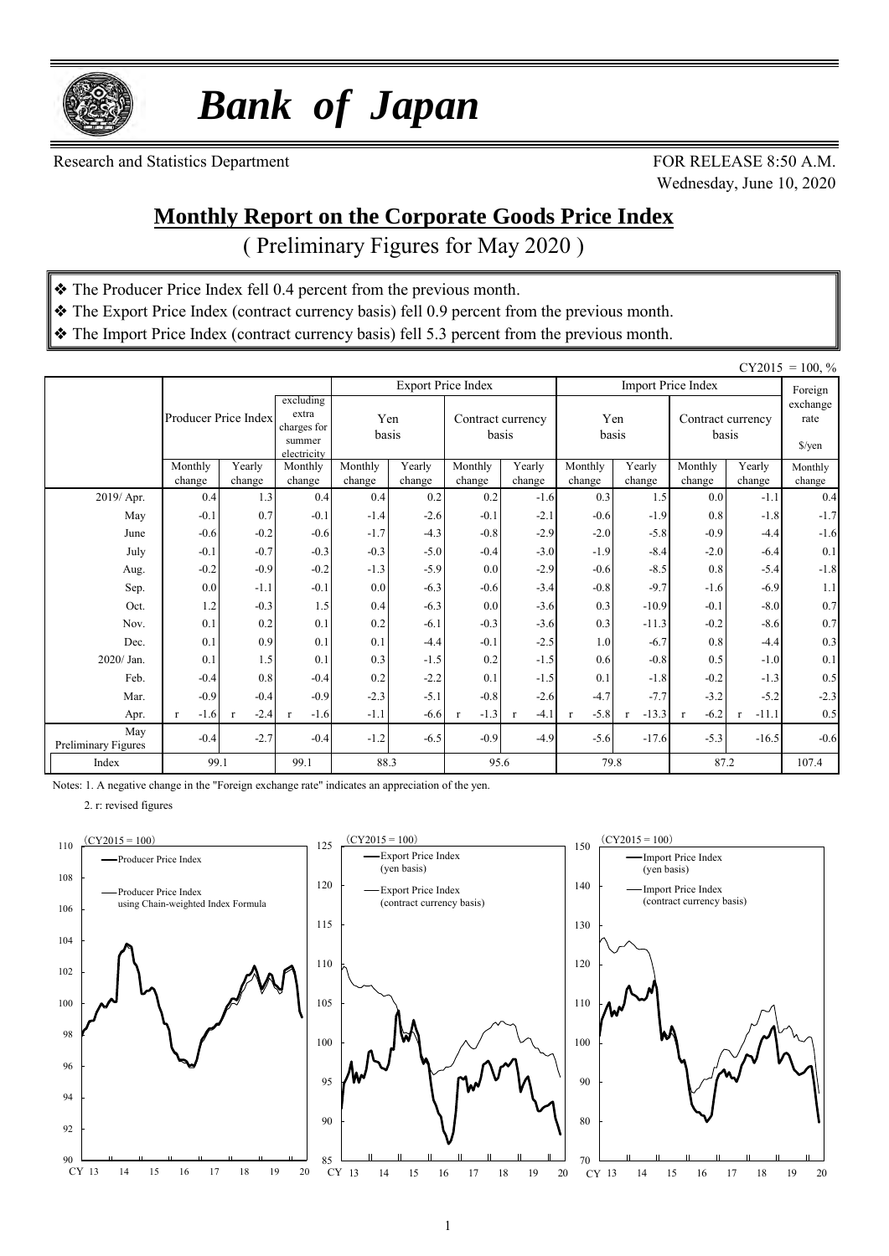

 *Bank of Japan*

Research and Statistics Department FOR RELEASE 8:50 A.M.

Wednesday, June 10, 2020

### **Monthly Report on the Corporate Goods Price Index**

( Preliminary Figures for May 2020 )

- ❖ The Producer Price Index fell 0.4 percent from the previous month.
- ❖ The Export Price Index (contract currency basis) fell 0.9 percent from the previous month.
- ❖ The Import Price Index (contract currency basis) fell 5.3 percent from the previous month.

|                            |                        |                  |                                                            |                   |                  |                           |                            |                        |                  |                            |                                     | $CY2015 = 100, \%$ |
|----------------------------|------------------------|------------------|------------------------------------------------------------|-------------------|------------------|---------------------------|----------------------------|------------------------|------------------|----------------------------|-------------------------------------|--------------------|
|                            |                        |                  |                                                            |                   |                  | <b>Export Price Index</b> |                            |                        |                  | <b>Import Price Index</b>  |                                     | Foreign            |
|                            | Producer Price Index   |                  | excluding<br>extra<br>charges for<br>summer<br>electricity | basis             | Yen              |                           | Contract currency<br>basis | basis                  | Yen              | Contract currency<br>basis | exchange<br>rate<br>$\sqrt{\gamma}$ |                    |
|                            | Monthly<br>change      | Yearly<br>change | Monthly<br>change                                          | Monthly<br>change | Yearly<br>change | Monthly<br>change         | Yearly<br>change           | Monthly<br>change      | Yearly<br>change | Monthly                    | Yearly<br>change                    | Monthly<br>change  |
| 2019/ Apr.                 | 0.4                    | 1.3              | 0.4                                                        | 0.4               | 0.2              | 0.2                       | $-1.6$                     | 0.3                    | 1.5              | change<br>0.0              | $-1.1$                              | 0.4                |
| May                        | $-0.1$                 | 0.7              | $-0.1$                                                     | $-1.4$            | $-2.6$           | $-0.1$                    | $-2.1$                     | $-0.6$                 | $-1.9$           | 0.8                        | $-1.8$                              | $-1.7$             |
| June                       | $-0.6$                 | $-0.2$           | $-0.6$                                                     | $-1.7$            | $-4.3$           | $-0.8$                    | $-2.9$                     | $-2.0$                 | $-5.8$           | $-0.9$                     | $-4.4$                              | $-1.6$             |
| July                       | $-0.1$                 | $-0.7$           | $-0.3$                                                     | $-0.3$            | $-5.0$           | $-0.4$                    | $-3.0$                     | $-1.9$                 | $-8.4$           | $-2.0$                     | $-6.4$                              | 0.1                |
| Aug.                       | $-0.2$                 | $-0.9$           | $-0.2$                                                     | $-1.3$            | $-5.9$           | 0.0                       | $-2.9$                     | $-0.6$                 | $-8.5$           | 0.8                        | $-5.4$                              | $-1.8$             |
| Sep.                       | 0.0                    | $-1.1$           | $-0.1$                                                     | 0.0               | $-6.3$           | $-0.6$                    | $-3.4$                     | $-0.8$                 | $-9.7$           | $-1.6$                     | $-6.9$                              | 1.1                |
| Oct.                       | 1.2                    | $-0.3$           | 1.5                                                        | 0.4               | $-6.3$           | 0.0                       | $-3.6$                     | 0.3                    | $-10.9$          | $-0.1$                     | $-8.0$                              | 0.7                |
| Nov.                       | 0.1                    | 0.2              | 0.1                                                        | 0.2               | $-6.1$           | $-0.3$                    | $-3.6$                     | 0.3                    | $-11.3$          | $-0.2$                     | $-8.6$                              | 0.7                |
| Dec.                       | 0.1                    | 0.9              | 0.1                                                        | 0.1               | $-4.4$           | $-0.1$                    | $-2.5$                     | 1.0                    | $-6.7$           | 0.8                        | $-4.4$                              | 0.3                |
| 2020/ Jan.                 | 0.1                    | 1.5              | 0.1                                                        | 0.3               | $-1.5$           | 0.2                       | $-1.5$                     | 0.6                    | $-0.8$           | 0.5                        | $-1.0$                              | 0.1                |
| Feb.                       | $-0.4$                 | 0.8              | $-0.4$                                                     | 0.2               | $-2.2$           | 0.1                       | $-1.5$                     | 0.1                    | $-1.8$           | $-0.2$                     | $-1.3$                              | 0.5                |
| Mar.                       | $-0.9$                 | $-0.4$           | $-0.9$                                                     | $-2.3$            | $-5.1$           | $-0.8$                    | $-2.6$                     | $-4.7$                 | $-7.7$           | $-3.2$                     | $-5.2$                              | $-2.3$             |
| Apr.                       | $-1.6$<br>$\mathbf{r}$ | $-2.4$           | $-1.6$<br>r                                                | $-1.1$            | $-6.6$           | $-1.3$                    | $-4.1$<br>$\mathbf{r}$     | $-5.8$<br>$\mathbf{r}$ | $-13.3$          | $-6.2$<br>$\mathbf{r}$     | $-11.1$<br>r                        | 0.5                |
| May<br>Preliminary Figures | $-0.4$                 | $-2.7$           | $-0.4$                                                     | $-1.2$            | $-6.5$           | $-0.9$                    | $-4.9$                     | $-5.6$                 | $-17.6$          | $-5.3$                     | $-16.5$                             | $-0.6$             |
| Index                      | 99.1                   |                  | 99.1                                                       | 88.3              |                  | 95.6                      |                            | 79.8                   |                  | 87.2                       | 107.4                               |                    |

Notes: 1. A negative change in the "Foreign exchange rate" indicates an appreciation of the yen.

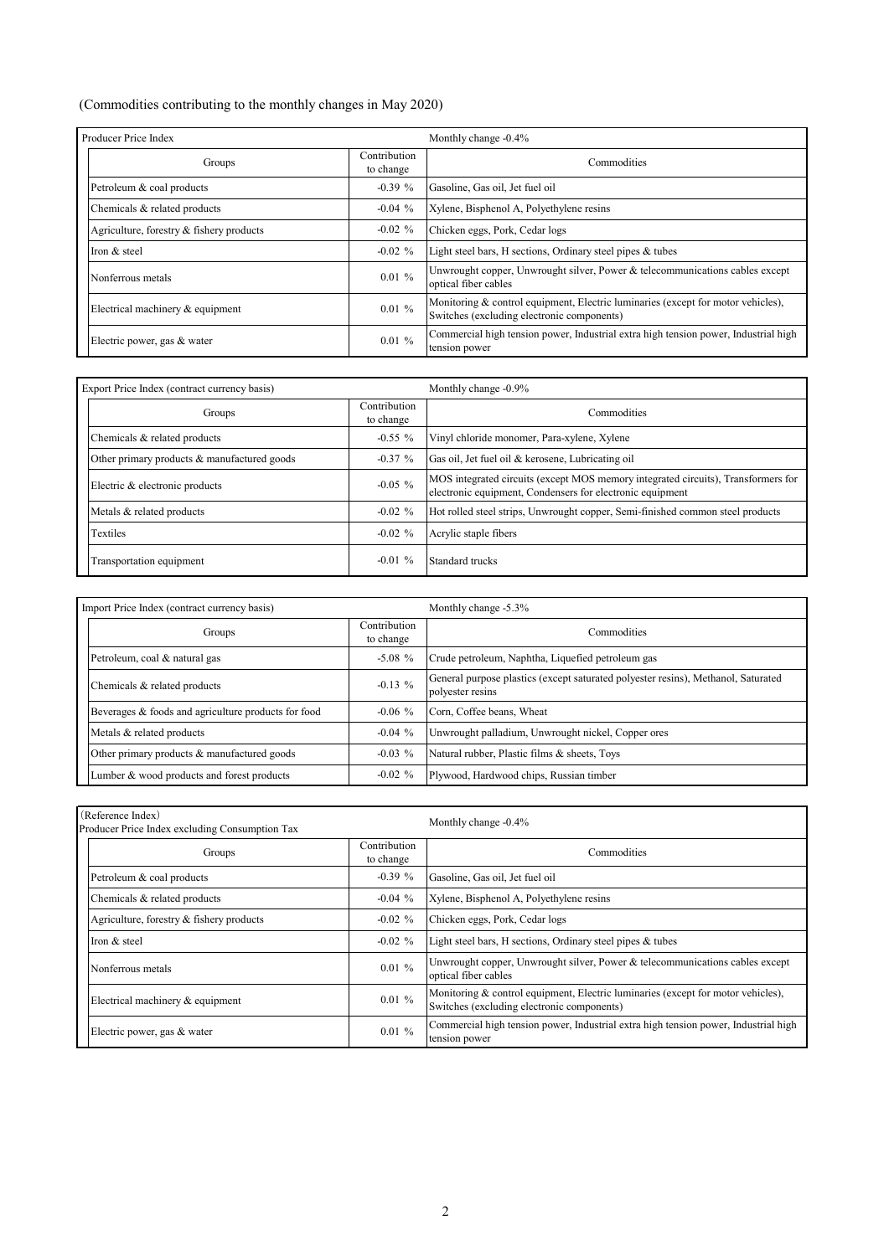#### (Commodities contributing to the monthly changes in May 2020)

| Producer Price Index                     |                           | Monthly change -0.4%                                                                                                           |  |  |  |  |  |
|------------------------------------------|---------------------------|--------------------------------------------------------------------------------------------------------------------------------|--|--|--|--|--|
| Groups                                   | Contribution<br>to change | Commodities                                                                                                                    |  |  |  |  |  |
| Petroleum & coal products                | $-0.39 \%$                | Gasoline, Gas oil, Jet fuel oil                                                                                                |  |  |  |  |  |
| Chemicals & related products             | $-0.04\%$                 | Xylene, Bisphenol A, Polyethylene resins                                                                                       |  |  |  |  |  |
| Agriculture, forestry & fishery products | $-0.02 \%$                | Chicken eggs, Pork, Cedar logs                                                                                                 |  |  |  |  |  |
| Iron & steel                             | $-0.02 \%$                | Light steel bars, H sections, Ordinary steel pipes & tubes                                                                     |  |  |  |  |  |
| Nonferrous metals                        | 0.01%                     | Unwrought copper, Unwrought silver, Power & telecommunications cables except<br>optical fiber cables                           |  |  |  |  |  |
| Electrical machinery & equipment         | 0.01%                     | Monitoring & control equipment, Electric luminaries (except for motor vehicles),<br>Switches (excluding electronic components) |  |  |  |  |  |
| Electric power, gas & water              | 0.01%                     | Commercial high tension power, Industrial extra high tension power, Industrial high<br>tension power                           |  |  |  |  |  |

| Export Price Index (contract currency basis) |                           | Monthly change -0.9%                                                                                                                           |  |  |  |  |  |
|----------------------------------------------|---------------------------|------------------------------------------------------------------------------------------------------------------------------------------------|--|--|--|--|--|
| Groups                                       | Contribution<br>to change | Commodities                                                                                                                                    |  |  |  |  |  |
| Chemicals & related products                 | $-0.55\%$                 | Vinyl chloride monomer, Para-xylene, Xylene                                                                                                    |  |  |  |  |  |
| Other primary products & manufactured goods  | $-0.37%$                  | Gas oil, Jet fuel oil & kerosene, Lubricating oil                                                                                              |  |  |  |  |  |
| Electric & electronic products               | $-0.05\%$                 | MOS integrated circuits (except MOS memory integrated circuits), Transformers for<br>electronic equipment, Condensers for electronic equipment |  |  |  |  |  |
| Metals & related products                    | $-0.02 \%$                | Hot rolled steel strips, Unwrought copper, Semi-finished common steel products                                                                 |  |  |  |  |  |
| <b>Textiles</b>                              | $-0.02 \%$                | Acrylic staple fibers                                                                                                                          |  |  |  |  |  |
| Transportation equipment                     | $-0.01\%$                 | Standard trucks                                                                                                                                |  |  |  |  |  |

| Import Price Index (contract currency basis)        |                           | Monthly change -5.3%                                                                                  |
|-----------------------------------------------------|---------------------------|-------------------------------------------------------------------------------------------------------|
| Groups                                              | Contribution<br>to change | Commodities                                                                                           |
| Petroleum, coal & natural gas                       | $-5.08\%$                 | Crude petroleum, Naphtha, Liquefied petroleum gas                                                     |
| Chemicals & related products                        | $-0.13\%$                 | General purpose plastics (except saturated polyester resins), Methanol, Saturated<br>polvester resins |
| Beverages & foods and agriculture products for food | $-0.06\%$                 | Corn, Coffee beans, Wheat                                                                             |
| Metals & related products                           | $-0.04\%$                 | Unwrought palladium, Unwrought nickel, Copper ores                                                    |
| Other primary products & manufactured goods         | $-0.03\%$                 | Natural rubber, Plastic films & sheets, Toys                                                          |
| Lumber & wood products and forest products          | $-0.02 \%$                | Plywood, Hardwood chips, Russian timber                                                               |

| (Reference Index)<br>Producer Price Index excluding Consumption Tax |                           | Monthly change -0.4%                                                                                                           |  |  |  |  |  |
|---------------------------------------------------------------------|---------------------------|--------------------------------------------------------------------------------------------------------------------------------|--|--|--|--|--|
| Groups                                                              | Contribution<br>to change | Commodities                                                                                                                    |  |  |  |  |  |
| Petroleum & coal products                                           | $-0.39%$                  | Gasoline, Gas oil, Jet fuel oil                                                                                                |  |  |  |  |  |
| Chemicals & related products                                        | $-0.04\%$                 | Xylene, Bisphenol A, Polyethylene resins                                                                                       |  |  |  |  |  |
| Agriculture, forestry & fishery products                            | $-0.02 \%$                | Chicken eggs, Pork, Cedar logs                                                                                                 |  |  |  |  |  |
| Iron & steel                                                        | $-0.02 \%$                | Light steel bars, H sections, Ordinary steel pipes & tubes                                                                     |  |  |  |  |  |
| Nonferrous metals                                                   | 0.01%                     | Unwrought copper, Unwrought silver, Power & telecommunications cables except<br>optical fiber cables                           |  |  |  |  |  |
| Electrical machinery & equipment                                    | 0.01%                     | Monitoring & control equipment, Electric luminaries (except for motor vehicles),<br>Switches (excluding electronic components) |  |  |  |  |  |
| Electric power, gas & water                                         | 0.01%                     | Commercial high tension power, Industrial extra high tension power, Industrial high<br>tension power                           |  |  |  |  |  |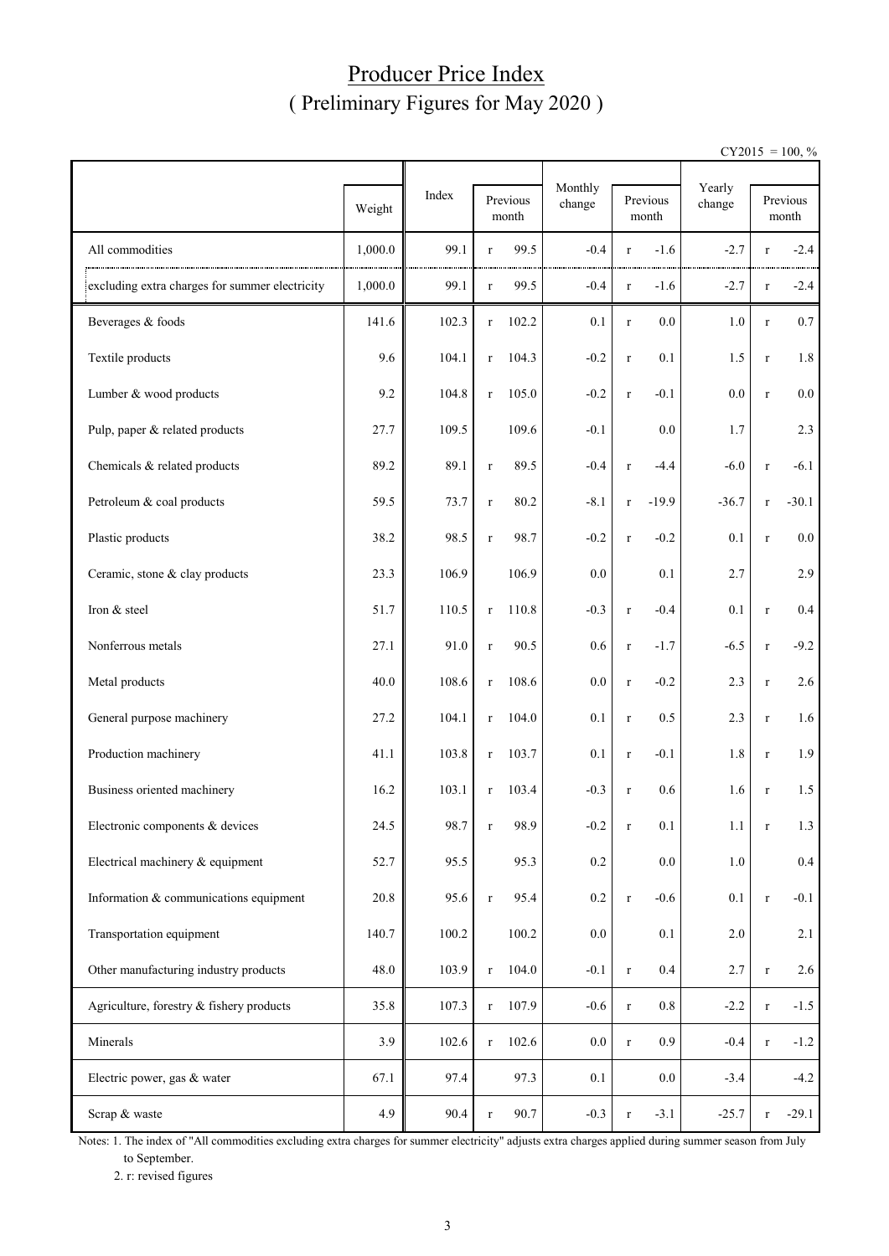### Producer Price Index ( Preliminary Figures for May 2020 )

 $CY2015 = 100, \%$ 

|                                                | Weight  | Index |             | Previous<br>month | Monthly<br>change |         | Previous<br>month | Yearly<br>change |              | Previous<br>month |  |
|------------------------------------------------|---------|-------|-------------|-------------------|-------------------|---------|-------------------|------------------|--------------|-------------------|--|
| All commodities                                | 1,000.0 | 99.1  | $\bf r$     | 99.5              | $-0.4$            | $\bf r$ | $-1.6$            | $-2.7$           | $\mathbf{r}$ | $-2.4$            |  |
| excluding extra charges for summer electricity | 1,000.0 | 99.1  | $\bf r$     | 99.5              | $-0.4$            | $\bf r$ | $-1.6$            | $-2.7$           | $\bf r$      | $-2.4$            |  |
| Beverages & foods                              | 141.6   | 102.3 | $\bf r$     | 102.2             | 0.1               | $\bf r$ | 0.0               | 1.0              | $\mathbf{r}$ | 0.7               |  |
| Textile products                               | 9.6     | 104.1 | $\bf r$     | 104.3             | $-0.2$            | $\bf r$ | 0.1               | 1.5              | $\bf r$      | 1.8               |  |
| Lumber & wood products                         | 9.2     | 104.8 | $\bf r$     | 105.0             | $-0.2$            | $\bf r$ | $-0.1$            | 0.0              | $\bf r$      | 0.0               |  |
| Pulp, paper & related products                 | 27.7    | 109.5 |             | 109.6             | $-0.1$            |         | 0.0               | 1.7              |              | 2.3               |  |
| Chemicals & related products                   | 89.2    | 89.1  | $\bf r$     | 89.5              | $-0.4$            | $\bf r$ | $-4.4$            | $-6.0$           | $\bf r$      | $-6.1$            |  |
| Petroleum & coal products                      | 59.5    | 73.7  | $\bf r$     | 80.2              | $-8.1$            | $\bf r$ | $-19.9$           | $-36.7$          | $\bf r$      | $-30.1$           |  |
| Plastic products                               | 38.2    | 98.5  | $\bf r$     | 98.7              | $-0.2$            | $\bf r$ | $-0.2$            | 0.1              | $\bf r$      | 0.0               |  |
| Ceramic, stone & clay products                 | 23.3    | 106.9 |             | 106.9             | 0.0               |         | 0.1               | 2.7              |              | 2.9               |  |
| Iron & steel                                   | 51.7    | 110.5 | $\bf r$     | 110.8             | $-0.3$            | $\bf r$ | $-0.4$            | 0.1              | $\bf r$      | 0.4               |  |
| Nonferrous metals                              | 27.1    | 91.0  | $\mathbf r$ | 90.5              | 0.6               | $\bf r$ | $-1.7$            | $-6.5$           | $\bf r$      | $-9.2$            |  |
| Metal products                                 | 40.0    | 108.6 | $\bf r$     | 108.6             | 0.0               | $\bf r$ | $-0.2$            | 2.3              | $\bf r$      | 2.6               |  |
| General purpose machinery                      | 27.2    | 104.1 | $\bf r$     | 104.0             | 0.1               | $\bf r$ | 0.5               | 2.3              | $\bf r$      | 1.6               |  |
| Production machinery                           | 41.1    | 103.8 | $\bf r$     | 103.7             | 0.1               | $\bf r$ | $-0.1$            | 1.8              | $\bf r$      | 1.9               |  |
| Business oriented machinery                    | 16.2    | 103.1 | $\bf r$     | 103.4             | $-0.3$            | $\bf r$ | 0.6               | 1.6              | $\bf r$      | 1.5               |  |
| Electronic components & devices                | 24.5    | 98.7  | r           | 98.9              | $-0.2$            | r       | 0.1               | 1.1              | r            | 1.3               |  |
| Electrical machinery & equipment               | 52.7    | 95.5  |             | 95.3              | 0.2               |         | $0.0\,$           | $1.0\,$          |              | $0.4\,$           |  |
| Information & communications equipment         | 20.8    | 95.6  | $\mathbf r$ | 95.4              | 0.2               | $\bf r$ | $-0.6$            | 0.1              | $\bf r$      | $-0.1$            |  |
| Transportation equipment                       | 140.7   | 100.2 |             | 100.2             | $0.0\,$           |         | 0.1               | 2.0              |              | 2.1               |  |
| Other manufacturing industry products          | 48.0    | 103.9 | $\mathbf r$ | 104.0             | $-0.1$            | $\bf r$ | 0.4               | 2.7              | $\bf r$      | 2.6               |  |
| Agriculture, forestry & fishery products       | 35.8    | 107.3 | $\mathbf r$ | 107.9             | $-0.6$            | $\bf r$ | $0.8\,$           | $-2.2$           | $\bf r$      | $-1.5$            |  |
| Minerals                                       | 3.9     | 102.6 | $\bf r$     | 102.6             | $0.0\,$           | $\bf r$ | 0.9               | $-0.4$           | $\bf r$      | $-1.2$            |  |
| Electric power, gas & water                    | 67.1    | 97.4  |             | 97.3              | 0.1               |         | $0.0\,$           | $-3.4$           |              | $-4.2$            |  |
| Scrap & waste                                  | 4.9     | 90.4  | $\bf r$     | 90.7              | $-0.3$            | $\bf r$ | $-3.1$            | $-25.7$          | $\bf r$      | $-29.1$           |  |

Notes: 1. The index of "All commodities excluding extra charges for summer electricity" adjusts extra charges applied during summer season from July to September.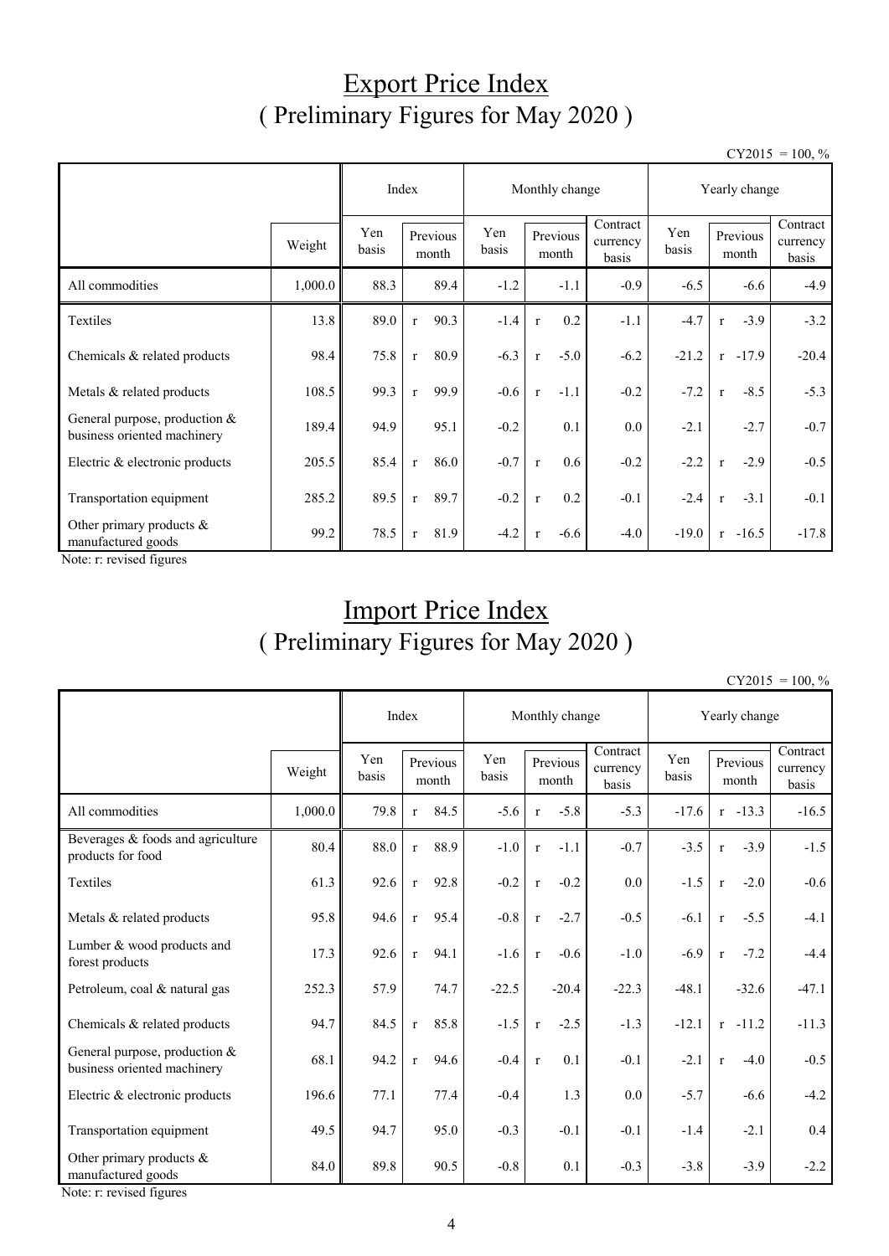## Export Price Index ( Preliminary Figures for May 2020 )

 $CY2015 = 100, \%$ 

|                                                                |         |              |                   | Monthly change |              |              |                   |                               | Yearly change |              |                   |                               |
|----------------------------------------------------------------|---------|--------------|-------------------|----------------|--------------|--------------|-------------------|-------------------------------|---------------|--------------|-------------------|-------------------------------|
|                                                                | Weight  | Yen<br>basis | Previous<br>month |                | Yen<br>basis |              | Previous<br>month | Contract<br>currency<br>basis | Yen<br>basis  |              | Previous<br>month | Contract<br>currency<br>basis |
| All commodities                                                | 1,000.0 | 88.3         |                   | 89.4           | $-1.2$       |              | $-1.1$            | $-0.9$                        | $-6.5$        |              | $-6.6$            | $-4.9$                        |
| Textiles                                                       | 13.8    | 89.0         | $\mathbf{r}$      | 90.3           | $-1.4$       | $\mathbf{r}$ | 0.2               | $-1.1$                        | $-4.7$        | $\mathbf{r}$ | $-3.9$            | $-3.2$                        |
| Chemicals & related products                                   | 98.4    | 75.8         | $\mathbf{r}$      | 80.9           | $-6.3$       | $\mathbf r$  | $-5.0$            | $-6.2$                        | $-21.2$       |              | $r -17.9$         | $-20.4$                       |
| Metals & related products                                      | 108.5   | 99.3         | $\mathbf{r}$      | 99.9           | $-0.6$       | $\mathbf r$  | $-1.1$            | $-0.2$                        | $-7.2$        | $\mathbf{r}$ | $-8.5$            | $-5.3$                        |
| General purpose, production $&$<br>business oriented machinery | 189.4   | 94.9         |                   | 95.1           | $-0.2$       |              | 0.1               | 0.0                           | $-2.1$        |              | $-2.7$            | $-0.7$                        |
| Electric & electronic products                                 | 205.5   | 85.4         | $\mathbf{r}$      | 86.0           | $-0.7$       | $\mathbf r$  | 0.6               | $-0.2$                        | $-2.2$        | $\mathbf{r}$ | $-2.9$            | $-0.5$                        |
| Transportation equipment                                       | 285.2   | 89.5         | $\mathbf{r}$      | 89.7           | $-0.2$       | $\mathbf r$  | 0.2               | $-0.1$                        | $-2.4$        | $\mathbf{r}$ | $-3.1$            | $-0.1$                        |
| Other primary products &<br>manufactured goods                 | 99.2    | 78.5         | $\mathbf{r}$      | 81.9           | $-4.2$       | $\mathbf{r}$ | $-6.6$            | $-4.0$                        | $-19.0$       |              | $r -16.5$         | $-17.8$                       |

Note: r: revised figures

# Import Price Index ( Preliminary Figures for May 2020 )

 $CY2015 = 100, \%$ 

|                                                              |         |                                   | Index        |              | Monthly change    |              |                               |              | Yearly change |                   |                               |         |
|--------------------------------------------------------------|---------|-----------------------------------|--------------|--------------|-------------------|--------------|-------------------------------|--------------|---------------|-------------------|-------------------------------|---------|
|                                                              | Weight  | Yen<br>Previous<br>basis<br>month |              | Yen<br>basis | Previous<br>month |              | Contract<br>currency<br>basis | Yen<br>basis |               | Previous<br>month | Contract<br>currency<br>basis |         |
| All commodities                                              | 1,000.0 | 79.8                              | $\mathbf{r}$ | 84.5         | $-5.6$            | $\mathbf{r}$ | $-5.8$                        | $-5.3$       | $-17.6$       |                   | $r - 13.3$                    | $-16.5$ |
| Beverages & foods and agriculture<br>products for food       | 80.4    | 88.0                              | $\mathbf r$  | 88.9         | $-1.0$            | $\mathbf r$  | $-1.1$                        | $-0.7$       | $-3.5$        | $\mathbf r$       | $-3.9$                        | $-1.5$  |
| Textiles                                                     | 61.3    | 92.6                              | $\mathbf{r}$ | 92.8         | $-0.2$            | $\mathbf r$  | $-0.2$                        | 0.0          | $-1.5$        | $\mathbf r$       | $-2.0$                        | $-0.6$  |
| Metals & related products                                    | 95.8    | 94.6                              | $\mathbf{r}$ | 95.4         | $-0.8$            | $\mathbf{r}$ | $-2.7$                        | $-0.5$       | $-6.1$        | $\mathbf{r}$      | $-5.5$                        | $-4.1$  |
| Lumber & wood products and<br>forest products                | 17.3    | 92.6                              | $\mathbf{r}$ | 94.1         | $-1.6$            | $\mathbf{r}$ | $-0.6$                        | $-1.0$       | $-6.9$        | $\mathbf r$       | $-7.2$                        | $-4.4$  |
| Petroleum, coal & natural gas                                | 252.3   | 57.9                              |              | 74.7         | $-22.5$           |              | $-20.4$                       | $-22.3$      | $-48.1$       |                   | $-32.6$                       | $-47.1$ |
| Chemicals & related products                                 | 94.7    | 84.5                              | $\mathbf{r}$ | 85.8         | $-1.5$            | $\mathbf r$  | $-2.5$                        | $-1.3$       | $-12.1$       |                   | $r - 11.2$                    | $-11.3$ |
| General purpose, production &<br>business oriented machinery | 68.1    | 94.2                              | $\mathbf{r}$ | 94.6         | $-0.4$            | $\mathbf{r}$ | 0.1                           | $-0.1$       | $-2.1$        | $\mathbf{r}$      | $-4.0$                        | $-0.5$  |
| Electric & electronic products                               | 196.6   | 77.1                              |              | 77.4         | $-0.4$            |              | 1.3                           | 0.0          | $-5.7$        |                   | $-6.6$                        | $-4.2$  |
| Transportation equipment                                     | 49.5    | 94.7                              |              | 95.0         | $-0.3$            |              | $-0.1$                        | $-0.1$       | $-1.4$        |                   | $-2.1$                        | 0.4     |
| Other primary products $&$<br>manufactured goods             | 84.0    | 89.8                              |              | 90.5         | $-0.8$            |              | 0.1                           | $-0.3$       | $-3.8$        |                   | $-3.9$                        | $-2.2$  |

Note: r: revised figures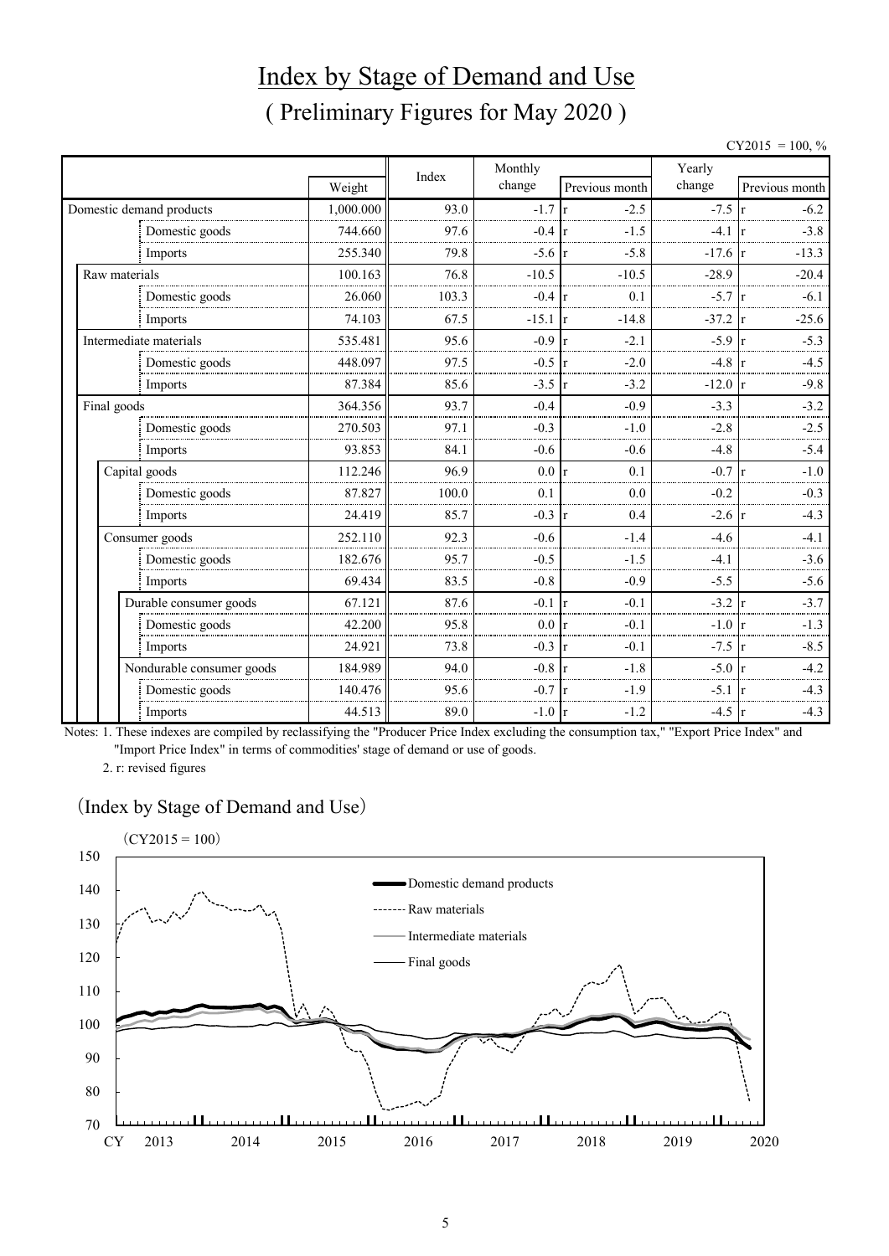# Index by Stage of Demand and Use ( Preliminary Figures for May 2020 )

 $CY2015 = 100, \%$ 

|               |                           |           |       | Monthly          |                           | Yearly    |                        |  |  |
|---------------|---------------------------|-----------|-------|------------------|---------------------------|-----------|------------------------|--|--|
|               |                           | Weight    | Index | change           | Previous month            | change    | Previous month         |  |  |
|               | Domestic demand products  | 1,000.000 | 93.0  | $-1.7$           | $-2.5$<br>r               | $-7.5$    | $-6.2$                 |  |  |
|               | Domestic goods            | 744.660   | 97.6  | $-0.4$           | $-1.5$<br>Ir              | $-4.1$    | $-3.8$                 |  |  |
|               | Imports                   | 255.340   | 79.8  | $-5.6 \text{ r}$ | $-5.8$                    | $-17.6$ r | $-13.3$                |  |  |
| Raw materials |                           | 100.163   | 76.8  | $-10.5$          | $-10.5$                   | $-28.9$   | $-20.4$                |  |  |
|               | Domestic goods            | 26.060    | 103.3 | $-0.4$           | 0.1<br>r                  | $-5.7$    | $-6.1$                 |  |  |
|               | Imports                   | 74.103    | 67.5  | $-15.1$          | $-14.8$<br>r              | $-37.2$   | $-25.6$                |  |  |
|               | Intermediate materials    | 535.481   | 95.6  | $-0.9$           | $-2.1$<br>r               | $-5.9$    | $-5.3$                 |  |  |
|               | Domestic goods            | 448.097   | 97.5  | $-0.5$           | $-2.0$<br>$\mathbf{r}$    | $-4.8$    | $-4.5$                 |  |  |
|               | Imports                   | 87.384    | 85.6  | $-3.5$           | $-3.2$<br>$\vert r \vert$ | $-12.0$   | $-9.8$<br>$\mathbf{r}$ |  |  |
| Final goods   |                           | 364.356   | 93.7  | $-0.4$           | $-0.9$                    | $-3.3$    | $-3.2$                 |  |  |
|               | Domestic goods            | 270.503   | 97.1  | $-0.3$           | $-1.0$                    | $-2.8$    | $-2.5$                 |  |  |
|               | Imports                   | 93.853    | 84.1  | $-0.6$           | $-0.6$                    | $-4.8$    | $-5.4$                 |  |  |
|               | Capital goods             | 112.246   | 96.9  | 0.0 r            | 0.1                       | $-0.7$    | $-1.0$                 |  |  |
|               | Domestic goods            | 87.827    | 100.0 | 0.1              | 0.0                       | $-0.2$    | $-0.3$                 |  |  |
|               | Imports                   | 24.419    | 85.7  | $-0.3$           | 0.4<br>$\mathbf{r}$       | $-2.6$    | $-4.3$                 |  |  |
|               | Consumer goods            | 252.110   | 92.3  | $-0.6$           | $-1.4$                    | $-4.6$    | $-4.1$                 |  |  |
|               | Domestic goods            | 182.676   | 95.7  | $-0.5$           | $-1.5$                    | $-4.1$    | $-3.6$                 |  |  |
|               | Imports                   | 69.434    | 83.5  | $-0.8$           | $-0.9$                    | $-5.5$    | $-5.6$                 |  |  |
|               | Durable consumer goods    | 67.121    | 87.6  | $-0.1$           | $-0.1$<br>$\mathbf{r}$    | $-3.2$    | $-3.7$                 |  |  |
|               | Domestic goods            | 42.200    | 95.8  | 0.0 <sub>r</sub> | $-0.1$                    | $-1.0$    | $-1.3$                 |  |  |
|               | Imports                   | 24.921    | 73.8  | $-0.3$           | $-0.1$<br>$\mathbf{r}$    | $-7.5$    | $-8.5$                 |  |  |
|               | Nondurable consumer goods | 184.989   | 94.0  | $-0.8$           | $-1.8$                    | $-5.0$    | $-4.2$                 |  |  |
|               | Domestic goods            | 140.476   | 95.6  | $-0.7$           | $-1.9$                    | $-5.1$    | $-4.3$                 |  |  |
|               | Imports                   | 44.513    | 89.0  | $-1.0 r$         | $-1.2$                    | $-4.5$    | $-4.3$<br>Ir           |  |  |

Notes: 1. These indexes are compiled by reclassifying the "Producer Price Index excluding the consumption tax," "Export Price Index" and "Import Price Index" in terms of commodities' stage of demand or use of goods.

2. r: revised figures

#### (Index by Stage of Demand and Use)

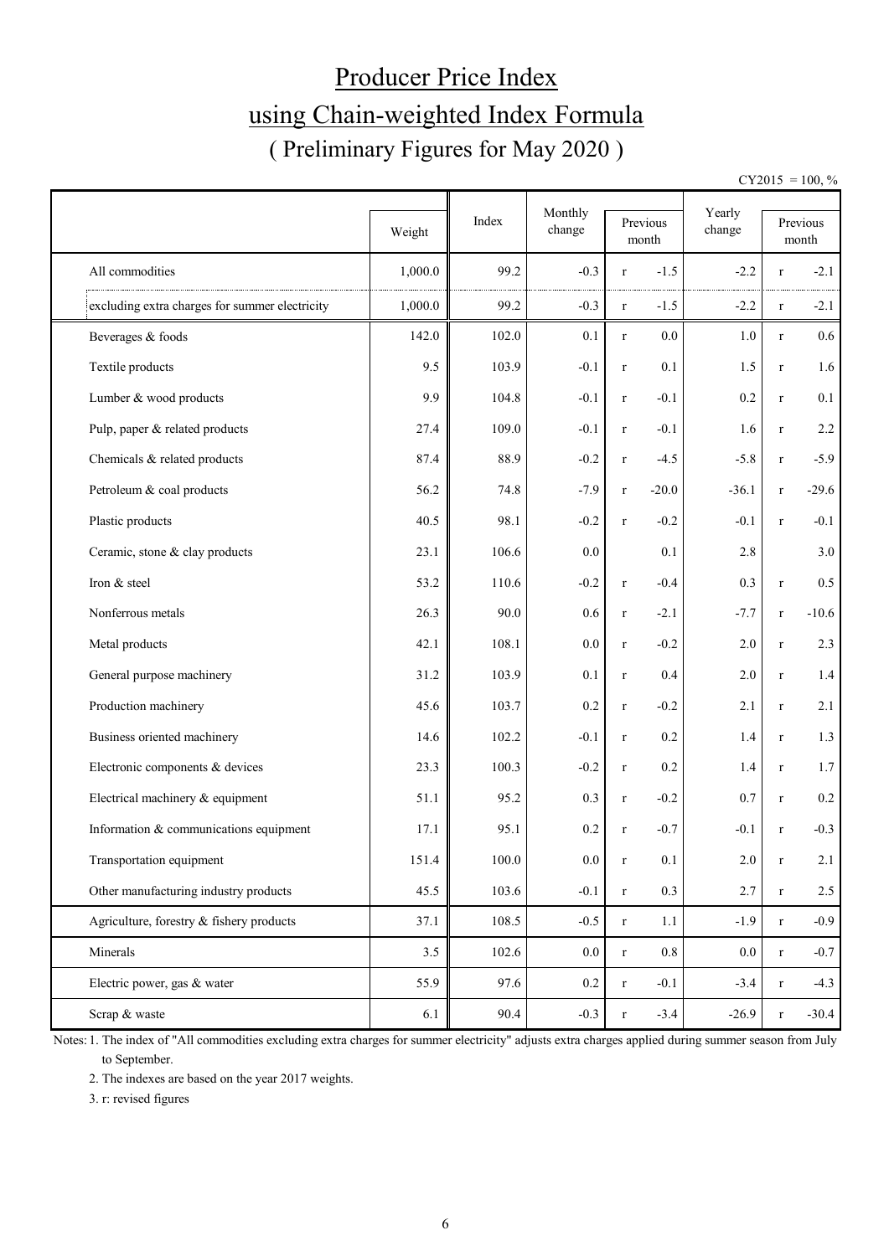# Producer Price Index using Chain-weighted Index Formula ( Preliminary Figures for May 2020 )

 $CY2015 = 100, \%$ 

|                                                |         | Index     | Monthly |             |                   | Yearly  |              |                   |
|------------------------------------------------|---------|-----------|---------|-------------|-------------------|---------|--------------|-------------------|
|                                                | Weight  |           | change  |             | Previous<br>month | change  |              | Previous<br>month |
| All commodities                                | 1,000.0 | 99.2      | $-0.3$  | $\bf r$     | $-1.5$            | $-2.2$  | r            | $-2.1$            |
| excluding extra charges for summer electricity | 1,000.0 | 99.2      | $-0.3$  | $\bf r$     | $-1.5$            | $-2.2$  | $\bf r$      | $-2.1$            |
| Beverages & foods                              | 142.0   | 102.0     | 0.1     | $\mathbf r$ | 0.0               | 1.0     | $\bf r$      | $0.6\,$           |
| Textile products                               | 9.5     | 103.9     | $-0.1$  | $\mathbf r$ | 0.1               | 1.5     | $\bf r$      | 1.6               |
| Lumber & wood products                         | 9.9     | 104.8     | $-0.1$  | $\mathbf r$ | $-0.1$            | 0.2     | $\bf r$      | 0.1               |
| Pulp, paper & related products                 | 27.4    | 109.0     | $-0.1$  | $\bf r$     | $-0.1$            | 1.6     | $\bf r$      | 2.2               |
| Chemicals & related products                   | 87.4    | 88.9      | $-0.2$  | $\bf r$     | $-4.5$            | $-5.8$  | $\bf r$      | $-5.9$            |
| Petroleum & coal products                      | 56.2    | 74.8      | $-7.9$  | $\mathbf r$ | $-20.0$           | $-36.1$ | $\bf r$      | $-29.6$           |
| Plastic products                               | 40.5    | 98.1      | $-0.2$  | $\mathbf r$ | $-0.2$            | $-0.1$  | $\mathbf{r}$ | $-0.1$            |
| Ceramic, stone & clay products                 | 23.1    | 106.6     | 0.0     |             | 0.1               | 2.8     |              | 3.0               |
| Iron & steel                                   | 53.2    | 110.6     | $-0.2$  | $\bf r$     | $-0.4$            | 0.3     | $\bf r$      | 0.5               |
| Nonferrous metals                              | 26.3    | 90.0      | 0.6     | $\mathbf r$ | $-2.1$            | $-7.7$  | $\bf r$      | $-10.6$           |
| Metal products                                 | 42.1    | 108.1     | 0.0     | $\mathbf r$ | $-0.2$            | 2.0     | $\bf r$      | 2.3               |
| General purpose machinery                      | 31.2    | 103.9     | 0.1     | $\mathbf r$ | 0.4               | 2.0     | $\bf r$      | 1.4               |
| Production machinery                           | 45.6    | 103.7     | 0.2     | $\mathbf r$ | $-0.2$            | 2.1     | $\bf r$      | 2.1               |
| Business oriented machinery                    | 14.6    | 102.2     | $-0.1$  | $\mathbf r$ | 0.2               | 1.4     | $\bf r$      | 1.3               |
| Electronic components & devices                | 23.3    | 100.3     | $-0.2$  | $\bf r$     | 0.2               | 1.4     | $\bf r$      | 1.7               |
| Electrical machinery & equipment               | 51.1    | 95.2      | 0.3     | $\bf r$     | $-0.2$            | 0.7     | $\bf r$      | 0.2               |
| Information & communications equipment         | 17.1    | 95.1      | 0.2     | $\bf r$     | $-0.7$            | $-0.1$  | $\mathbf{r}$ | $-0.3$            |
| Transportation equipment                       | 151.4   | $100.0\,$ | $0.0\,$ | $\mathbf r$ | 0.1               | $2.0\,$ | $\mathbf r$  | 2.1               |
| Other manufacturing industry products          | 45.5    | 103.6     | $-0.1$  | $\mathbf r$ | 0.3               | 2.7     | $\bf r$      | $2.5\,$           |
| Agriculture, forestry & fishery products       | 37.1    | 108.5     | $-0.5$  | $\mathbf r$ | 1.1               | $-1.9$  | $\bf r$      | $-0.9$            |
| Minerals                                       | 3.5     | 102.6     | $0.0\,$ | $\mathbf r$ | 0.8               | $0.0\,$ | $\bf r$      | $-0.7$            |
| Electric power, gas & water                    | 55.9    | 97.6      | $0.2\,$ | $\bf r$     | $-0.1$            | $-3.4$  | $\bf r$      | $-4.3$            |
| Scrap & waste                                  | 6.1     | 90.4      | $-0.3$  | $\bf r$     | $-3.4$            | $-26.9$ | $\bf r$      | $-30.4$           |

Notes: 1. The index of "All commodities excluding extra charges for summer electricity" adjusts extra charges applied during summer season from July to September.

2. The indexes are based on the year 2017 weights.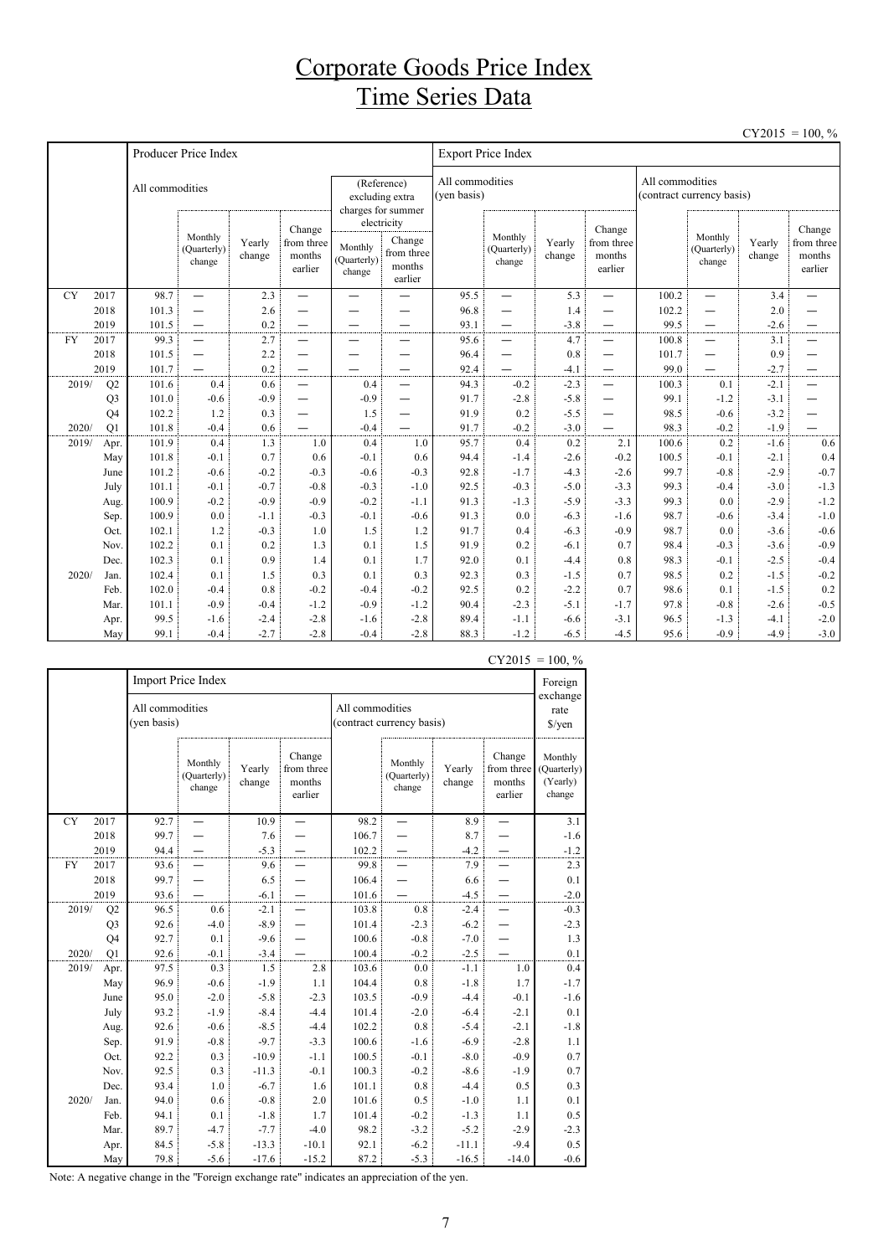### Corporate Goods Price Index Time Series Data

|           |                      |                 |                                  |                  |                                                      |                                  |                                                          |                                |                                    |                  |                                           |                 |                                  |                  | $CY2015 = 100, \%$                        |
|-----------|----------------------|-----------------|----------------------------------|------------------|------------------------------------------------------|----------------------------------|----------------------------------------------------------|--------------------------------|------------------------------------|------------------|-------------------------------------------|-----------------|----------------------------------|------------------|-------------------------------------------|
|           |                      |                 | Producer Price Index             |                  |                                                      |                                  |                                                          |                                | <b>Export Price Index</b>          |                  |                                           |                 |                                  |                  |                                           |
|           |                      | All commodities |                                  |                  |                                                      |                                  | (Reference)<br>excluding extra<br>charges for summer     | All commodities<br>(yen basis) |                                    |                  |                                           | All commodities | (contract currency basis)        |                  |                                           |
|           |                      |                 | Monthly<br>(Quarterly)<br>change | Yearly<br>change | Change<br>from three<br>months<br>earlier            | Monthly<br>(Quarterly)<br>change | electricity<br>Change<br>from three<br>months<br>earlier |                                | Monthly<br>(Quarterly)<br>change   | Yearly<br>change | Change<br>from three<br>months<br>earlier |                 | Monthly<br>(Quarterly)<br>change | Yearly<br>change | Change<br>from three<br>months<br>earlier |
| <b>CY</b> | 2017                 | 98.7            | $\overline{\phantom{0}}$         | 2.3              | —                                                    | $\overline{\phantom{0}}$         | —                                                        | 95.5                           | $\equiv$                           | 5.3              | —                                         | 100.2           | $\overline{\phantom{0}}$         | 3.4              | $\overline{\phantom{0}}$                  |
|           | 2018                 | 101.3           | $\overline{\phantom{0}}$         | 2.6              |                                                      |                                  |                                                          | 96.8                           | $\overline{\phantom{0}}$           | 1.4              | -                                         | 102.2           | —                                | 2.0              |                                           |
|           | 2019                 | 101.5           | $\qquad \qquad -$                | 0.2              | $\overline{\phantom{0}}$                             | -                                | —                                                        | 93.1                           | $\overline{\phantom{0}}$           | $-3.8$           | $\overline{\phantom{0}}$                  | 99.5            | —                                | $-2.6$           | —                                         |
| <b>FY</b> | 2017                 | 99.3            | $\overbrace{\phantom{1232211}}$  | 2.7              | —                                                    | —                                | $\overline{\phantom{0}}$                                 | 95.6                           | —                                  | 4.7              |                                           | 100.8           | $\overline{\phantom{0}}$         | 3.1              | —                                         |
|           | 2018                 | 101.5           |                                  | 2.2              | —                                                    | <u>.</u>                         | $\overline{\phantom{0}}$                                 | 96.4                           |                                    | 0.8              | $\overline{\phantom{0}}$                  | 101.7           | —                                | 0.9              | —                                         |
| 2019/     | 2019                 | 101.7           | 0.4                              | 0.2              | $\overline{\phantom{0}}$                             | $\overline{\phantom{0}}$<br>0.4  | $\overline{\phantom{0}}$                                 | 92.4                           | $\overline{\phantom{0}}$<br>$-0.2$ | $-4.1$<br>$-2.3$ | $\overline{\phantom{0}}$                  | 99.0            | —<br>0.1                         | $-2.7$<br>$-2.1$ | —<br>$\overline{\phantom{0}}$             |
|           | Q2<br>Q <sub>3</sub> | 101.6<br>101.0  | $-0.6$                           | 0.6<br>$-0.9$    | $\overline{\phantom{0}}$<br>$\overline{\phantom{0}}$ | $-0.9$                           | $\overline{\phantom{0}}$<br>$\overline{\phantom{0}}$     | 94.3<br>91.7                   | $-2.8$                             | $-5.8$           | $\overline{\phantom{0}}$                  | 100.3<br>99.1   | $-1.2$                           | $-3.1$           |                                           |
|           | Q <sub>4</sub>       | 102.2           | 1.2                              | 0.3              | —                                                    | 1.5                              | $\overline{\phantom{0}}$                                 | 91.9                           | 0.2                                | $-5.5$           | -                                         | 98.5            | $-0.6$                           | $-3.2$           |                                           |
| 2020/     | Q1                   | 101.8           | $-0.4$                           | 0.6              |                                                      | $-0.4$                           |                                                          | 91.7                           | $-0.2$                             | $-3.0$           |                                           | 98.3            | $-0.2$                           | $-1.9$           |                                           |
| 2019/     | Apr.                 | 101.9           | 0.4                              | 1.3              | 1.0                                                  | 0.4                              | 1.0                                                      | 95.7                           | 0.4                                | 0.2              | 2.1                                       | 100.6           | 0.2                              | $-1.6$           | 0.6                                       |
|           | May                  | 101.8           | $-0.1$                           | 0.7              | 0.6                                                  | $-0.1$                           | 0.6                                                      | 94.4                           | $-1.4$                             | $-2.6$           | $-0.2$                                    | 100.5           | $-0.1$                           | $-2.1$           | 0.4                                       |
|           | June                 | 101.2           | $-0.6$                           | $-0.2$           | $-0.3$                                               | $-0.6$                           | $-0.3$                                                   | 92.8                           | $-1.7$                             | $-4.3$           | $-2.6$                                    | 99.7            | $-0.8$                           | $-2.9$           | $-0.7$                                    |
|           | July                 | 101.1           | $-0.1$                           | $-0.7$           | $-0.8$                                               | $-0.3$                           | $-1.0$                                                   | 92.5                           | $-0.3$                             | $-5.0$           | $-3.3$                                    | 99.3            | $-0.4$                           | $-3.0$           | $-1.3$                                    |
|           | Aug.                 | 100.9           | $-0.2$                           | $-0.9$           | $-0.9$                                               | $-0.2$                           | $-1.1$                                                   | 91.3                           | $-1.3$                             | $-5.9$           | $-3.3$                                    | 99.3            | 0.0                              | $-2.9$           | $-1.2$                                    |
|           | Sep.                 | 100.9           | 0.0                              | $-1.1$           | $-0.3$                                               | $-0.1$                           | $-0.6$                                                   | 91.3                           | 0.0                                | $-6.3$           | $-1.6$                                    | 98.7            | $-0.6$                           | $-3.4$           | $-1.0$                                    |
|           | Oct.                 | 102.1           | 1.2                              | $-0.3$           | 1.0                                                  | 1.5                              | 1.2                                                      | 91.7                           | 0.4                                | $-6.3$           | $-0.9$                                    | 98.7            | 0.0                              | $-3.6$           | $-0.6$                                    |
|           | Nov.                 | 102.2           | 0.1                              | 0.2              | 1.3                                                  | 0.1                              | 1.5                                                      | 91.9                           | 0.2                                | $-6.1$           | 0.7                                       | 98.4            | $-0.3$                           | $-3.6$           | $-0.9$                                    |
|           | Dec.                 | 102.3           | 0.1                              | 0.9              | 1.4                                                  | 0.1                              | 1.7                                                      | 92.0                           | 0.1                                | $-4.4$           | 0.8                                       | 98.3            | $-0.1$                           | $-2.5$           | $-0.4$                                    |
| 2020/     | Jan.                 | 102.4           | 0.1                              | 1.5              | 0.3                                                  | 0.1                              | 0.3                                                      | 92.3                           | 0.3                                | $-1.5$           | 0.7                                       | 98.5            | 0.2                              | $-1.5$           | $-0.2$                                    |
|           | Feb.                 | 102.0           | $-0.4$                           | 0.8              | $-0.2$                                               | $-0.4$                           | $-0.2$                                                   | 92.5                           | 0.2                                | $-2.2$           | 0.7                                       | 98.6            | 0.1                              | $-1.5$           | 0.2                                       |
|           | Mar.                 | 101.1           | $-0.9$                           | $-0.4$           | $-1.2$                                               | $-0.9$                           | $-1.2$                                                   | 90.4                           | $-2.3$                             | $-5.1$           | $-1.7$                                    | 97.8            | $-0.8$                           | $-2.6$           | $-0.5$                                    |
|           | Apr.                 | 99.5            | $-1.6$                           | $-2.4$           | $-2.8$                                               | $-1.6$                           | $-2.8$                                                   | 89.4                           | $-1.1$                             | $-6.6$           | $-3.1$                                    | 96.5            | $-1.3$                           | $-4.1$           | $-2.0$                                    |
|           | May                  | 99.1            | $-0.4$                           | $-2.7$           | $-2.8$                                               | $-0.4$                           | $-2.8$                                                   | 88.3                           | $-1.2$                             | $-6.5$           | $-4.5$                                    | 95.6            | $-0.9$                           | $-4.9$           | $-3.0$                                    |

|           |                |                                | Import Price Index               |                  |                                           |                 |                                  |                  |                                           | Foreign                                      |
|-----------|----------------|--------------------------------|----------------------------------|------------------|-------------------------------------------|-----------------|----------------------------------|------------------|-------------------------------------------|----------------------------------------------|
|           |                | All commodities<br>(yen basis) |                                  |                  |                                           | All commodities | (contract currency basis)        |                  |                                           | exchange<br>rate<br>$\sqrt{\frac{2}{\pi}}$   |
|           |                |                                | Monthly<br>(Quarterly)<br>change | Yearly<br>change | Change<br>from three<br>months<br>earlier |                 | Monthly<br>(Quarterly)<br>change | Yearly<br>change | Change<br>from three<br>months<br>earlier | Monthly<br>(Quarterly)<br>(Yearly)<br>change |
| <b>CY</b> | 2017           | 92.7                           |                                  | 10.9             |                                           | 98.2            |                                  | 8.9              |                                           | 3.1                                          |
|           | 2018           | 99.7                           |                                  | 7.6              |                                           | 106.7           |                                  | 8.7              |                                           | $-1.6$                                       |
|           | 2019           | 94.4                           |                                  | $-5.3$           |                                           | 102.2           |                                  | $-4.2$           |                                           | $-1.2$                                       |
| FY        | 2017           | 93.6                           |                                  | 9.6              |                                           | 99.8            |                                  | 7.9              |                                           | 2.3                                          |
|           | 2018           | 99.7                           |                                  | 6.5              |                                           | 106.4           |                                  | 6.6              |                                           | 0.1                                          |
|           | 2019           | 93.6                           |                                  | $-6.1$           |                                           | 101.6           |                                  | $-4.5$           |                                           | $-2.0$                                       |
| 2019/     | Q2             | 96.5                           | 0.6                              | $-2.1$           |                                           | 103.8           | 0.8                              | $-2.4$           |                                           | $-0.3$                                       |
|           | Q <sub>3</sub> | 92.6                           | $-4.0$                           | $-8.9$           |                                           | 101.4           | $-2.3$                           | $-6.2$           |                                           | $-2.3$                                       |
|           | Q4             | 92.7                           | 0.1                              | $-9.6$           |                                           | 100.6           | $-0.8$                           | $-7.0$           |                                           | 1.3                                          |
| 2020/     | O <sub>1</sub> | 92.6                           | $-0.1$                           | $-3.4$           |                                           | 100.4           | $-0.2$                           | $-2.5$           |                                           | $0.1\,$                                      |
| 2019/     | Apr.           | 97.5                           | 0.3                              | 1.5              | 2.8                                       | 103.6           | 0.0                              | $-1.1$           | 1.0                                       | 0.4                                          |
|           | May            | 96.9                           | $-0.6$                           | $-1.9$           | 1.1                                       | 104.4           | 0.8                              | $-1.8$           | 1.7                                       | $-1.7$                                       |
|           | June           | 95.0                           | $-2.0$                           | $-5.8$           | $-2.3$                                    | 103.5           | $-0.9$                           | $-4.4$           | $-0.1$                                    | $-1.6$                                       |
|           | July           | 93.2                           | $-1.9$                           | $-8.4$           | $-4.4$                                    | 101.4           | $-2.0$                           | $-6.4$           | $-2.1$                                    | 0.1                                          |
|           | Aug.           | 92.6                           | $-0.6$                           | $-8.5$           | $-4.4$                                    | 102.2           | 0.8                              | $-5.4$           | $-2.1$                                    | $-1.8$                                       |
|           | Sep.           | 91.9                           | $-0.8$                           | $-9.7$           | $-3.3$                                    | 100.6           | $-1.6$                           | $-6.9$           | $-2.8$                                    | 1.1                                          |
|           | Oct.           | 92.2                           | 0.3                              | $-10.9$          | $-1.1$                                    | 100.5           | $-0.1$                           | $-8.0$           | $-0.9$                                    | 0.7                                          |
|           | Nov.           | 92.5                           | 0.3                              | $-11.3$          | $-0.1$                                    | 100.3           | $-0.2$                           | $-8.6$           | $-1.9$                                    | 0.7                                          |
|           | Dec.           | 93.4                           | 1.0                              | $-6.7$           | 1.6                                       | 101.1           | $0.8\,$                          | $-4.4$           | 0.5                                       | 0.3                                          |
| 2020/     | Jan.           | 94.0                           | 0.6                              | $-0.8$           | 2.0                                       | 101.6           | 0.5                              | $-1.0$           | 1.1                                       | 0.1                                          |
|           | Feb.           | 94.1                           | 0.1                              | $-1.8$           | 1.7                                       | 101.4           | $-0.2$                           | $-1.3$           | 1.1                                       | 0.5                                          |
|           | Mar.           | 89.7                           | $-4.7$                           | $-7.7$           | $-4.0$                                    | 98.2            | $-3.2$                           | $-5.2$           | $-2.9$                                    | $-2.3$                                       |
|           | Apr.           | 84.5                           | $-5.8$                           | $-13.3$          | $-10.1$                                   | 92.1            | $-6.2$                           | $-11.1$          | $-9.4$                                    | 0.5                                          |
|           | May            | 79.8                           | $-5.6$                           | $-17.6$          | $-15.2$                                   | 87.2            | $-5.3$                           | $-16.5$          | $-14.0$                                   | $-0.6$                                       |

 $CY2015 = 100, \%$ 

Note: A negative change in the "Foreign exchange rate" indicates an appreciation of the yen.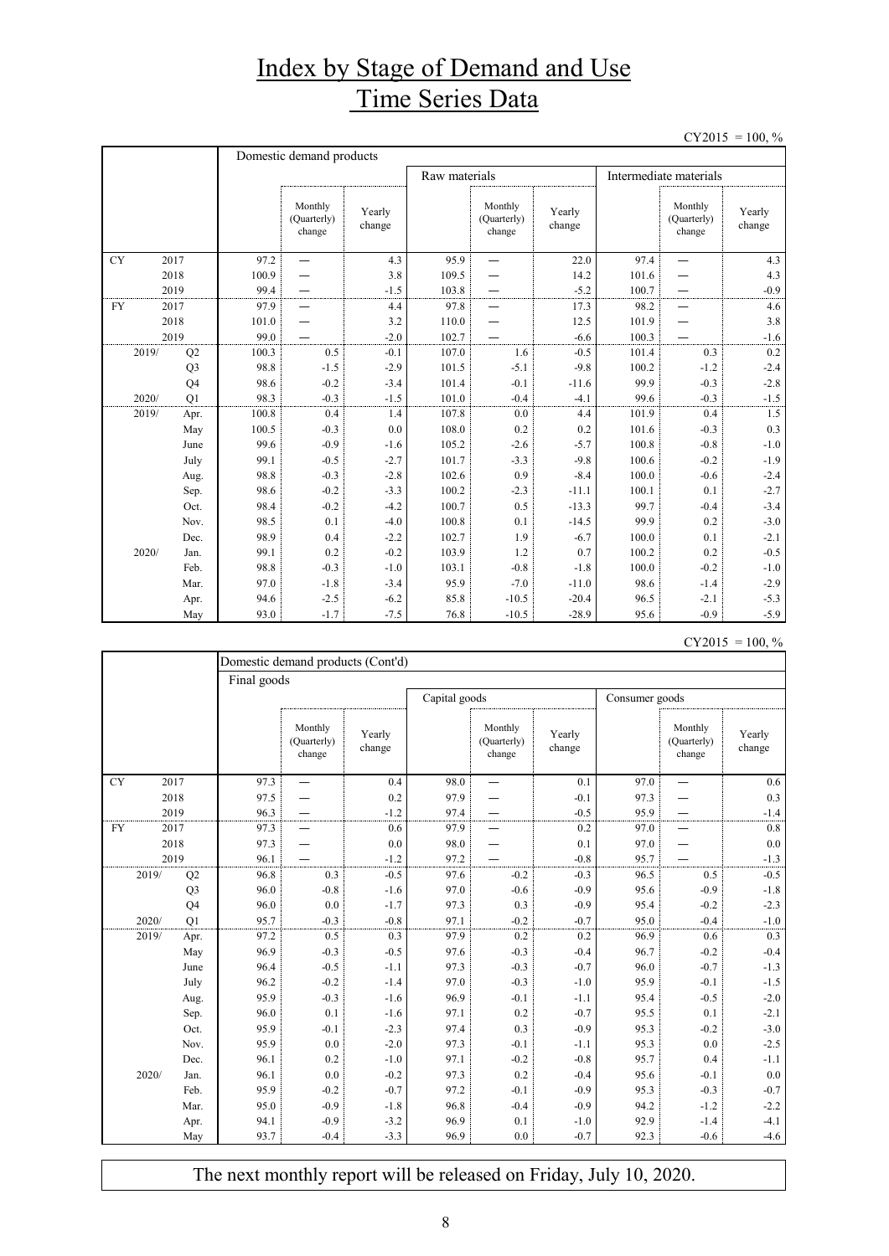## Index by Stage of Demand and Use Time Series Data

 $CY2015 = 100, \%$ 

|           |                | Domestic demand products |                                  |                  |               |                                  |                  |                        |                                  |                  |  |
|-----------|----------------|--------------------------|----------------------------------|------------------|---------------|----------------------------------|------------------|------------------------|----------------------------------|------------------|--|
|           |                |                          |                                  |                  | Raw materials |                                  |                  | Intermediate materials |                                  |                  |  |
|           |                |                          | Monthly<br>(Quarterly)<br>change | Yearly<br>change |               | Monthly<br>(Quarterly)<br>change | Yearly<br>change |                        | Monthly<br>(Quarterly)<br>change | Yearly<br>change |  |
| <b>CY</b> | 2017           | 97.2                     |                                  | 4.3              | 95.9          |                                  | 22.0             | 97.4                   | $\overline{\phantom{0}}$         | 4.3              |  |
|           | 2018           | 100.9                    |                                  | 3.8              | 109.5         |                                  | 14.2             | 101.6                  |                                  | 4.3              |  |
|           | 2019           | 99.4                     |                                  | $-1.5$           | 103.8         |                                  | $-5.2$           | 100.7                  |                                  | $-0.9$           |  |
| <b>FY</b> | 2017           | 97.9                     |                                  | 4.4              | 97.8          |                                  | 17.3             | 98.2                   |                                  | 4.6              |  |
|           | 2018           | 101.0                    |                                  | 3.2              | 110.0         |                                  | 12.5             | 101.9                  |                                  | 3.8              |  |
|           | 2019           | 99.0                     |                                  | $-2.0$           | 102.7         |                                  | $-6.6$           | 100.3                  |                                  | $-1.6$           |  |
| 2019/     | Q2             | 100.3                    | 0.5                              | $-0.1$           | 107.0         | 1.6                              | $-0.5$           | 101.4                  | 0.3                              | 0.2              |  |
|           | Q <sub>3</sub> | 98.8                     | $-1.5$                           | $-2.9$           | 101.5         | $-5.1$                           | $-9.8$           | 100.2                  | $-1.2$                           | $-2.4$           |  |
|           | Q <sub>4</sub> | 98.6                     | $-0.2$                           | $-3.4$           | 101.4         | $-0.1$                           | $-11.6$          | 99.9                   | $-0.3$                           | $-2.8$           |  |
| 2020/     | O <sub>1</sub> | 98.3                     | $-0.3$                           | $-1.5$           | 101.0         | $-0.4$                           | $-4.1$           | 99.6                   | $-0.3$                           | $-1.5$           |  |
| 2019/     | Apr.           | 100.8                    | 0.4                              | 1.4              | 107.8         | 0.0                              | 4.4              | 101.9                  | 0.4                              | 1.5              |  |
|           | May            | 100.5                    | $-0.3$                           | 0.0              | 108.0         | 0.2                              | 0.2              | 101.6                  | $-0.3$                           | 0.3              |  |
|           | June           | 99.6                     | $-0.9$                           | $-1.6$           | 105.2         | $-2.6$                           | $-5.7$           | 100.8                  | $-0.8$                           | $-1.0$           |  |
|           | July           | 99.1                     | $-0.5$                           | $-2.7$           | 101.7         | $-3.3$                           | $-9.8$           | 100.6                  | $-0.2$                           | $-1.9$           |  |
|           | Aug.           | 98.8                     | $-0.3$                           | $-2.8$           | 102.6         | 0.9                              | $-8.4$           | 100.0                  | $-0.6$                           | $-2.4$           |  |
|           | Sep.           | 98.6                     | $-0.2$                           | $-3.3$           | 100.2         | $-2.3$                           | $-11.1$          | 100.1                  | 0.1                              | $-2.7$           |  |
|           | Oct.           | 98.4                     | $-0.2$                           | $-4.2$           | 100.7         | 0.5                              | $-13.3$          | 99.7                   | $-0.4$                           | $-3.4$           |  |
|           | Nov.           | 98.5                     | 0.1                              | $-4.0$           | 100.8         | 0.1                              | $-14.5$          | 99.9                   | 0.2                              | $-3.0$           |  |
|           | Dec.           | 98.9                     | 0.4                              | $-2.2$           | 102.7         | 1.9                              | $-6.7$           | 100.0                  | 0.1                              | $-2.1$           |  |
| 2020/     | Jan.           | 99.1                     | 0.2                              | $-0.2$           | 103.9         | 1.2                              | 0.7              | 100.2                  | 0.2                              | $-0.5$           |  |
|           | Feb.           | 98.8                     | $-0.3$                           | $-1.0$           | 103.1         | $-0.8$                           | $-1.8$           | 100.0                  | $-0.2$                           | $-1.0$           |  |
|           | Mar.           | 97.0                     | $-1.8$                           | $-3.4$           | 95.9          | $-7.0$                           | $-11.0$          | 98.6                   | $-1.4$                           | $-2.9$           |  |
|           | Apr.           | 94.6                     | $-2.5$                           | $-6.2$           | 85.8          | $-10.5$                          | $-20.4$          | 96.5                   | $-2.1$                           | $-5.3$           |  |
|           | May            | 93.0                     | $-1.7$                           | $-7.5$           | 76.8          | $-10.5$                          | $-28.9$          | 95.6                   | $-0.9$                           | $-5.9$           |  |

| $CY2015 = 100, \%$ |  |  |
|--------------------|--|--|
|--------------------|--|--|

|           |                | Domestic demand products (Cont'd) |                                  |                  |      |                                  |                  |      |                                  |                  |  |
|-----------|----------------|-----------------------------------|----------------------------------|------------------|------|----------------------------------|------------------|------|----------------------------------|------------------|--|
|           |                | Final goods                       |                                  |                  |      |                                  |                  |      |                                  |                  |  |
|           |                | Capital goods<br>Consumer goods   |                                  |                  |      |                                  |                  |      |                                  |                  |  |
|           |                |                                   | Monthly<br>(Quarterly)<br>change | Yearly<br>change |      | Monthly<br>(Quarterly)<br>change | Yearly<br>change |      | Monthly<br>(Quarterly)<br>change | Yearly<br>change |  |
| <b>CY</b> | 2017           | 97.3                              |                                  | 0.4              | 98.0 |                                  | 0.1              | 97.0 | —                                | 0.6              |  |
|           | 2018           | 97.5                              |                                  | 0.2              | 97.9 |                                  | $-0.1$           | 97.3 |                                  | 0.3              |  |
|           | 2019           | 96.3                              |                                  | $-1.2$           | 97.4 |                                  | $-0.5$           | 95.9 |                                  | $-1.4$           |  |
| <b>FY</b> | 2017           | 97.3                              |                                  | 0.6              | 97.9 |                                  | 0.2              | 97.0 |                                  | 0.8              |  |
|           | 2018           | 97.3                              |                                  | 0.0              | 98.0 |                                  | 0.1              | 97.0 |                                  | 0.0              |  |
|           | 2019           | 96.1                              |                                  | $-1.2$           | 97.2 |                                  | $-0.8$           | 95.7 |                                  | $-1.3$           |  |
| 2019/     | Q2             | 96.8                              | 0.3                              | $-0.5$           | 97.6 | $-0.2$                           | $-0.3$           | 96.5 | 0.5                              | $-0.5$           |  |
|           | Q <sub>3</sub> | 96.0                              | $-0.8$                           | $-1.6$           | 97.0 | $-0.6$                           | $-0.9$           | 95.6 | $-0.9$                           | $-1.8$           |  |
|           | Q4             | 96.0                              | 0.0                              | $-1.7$           | 97.3 | 0.3                              | $-0.9$           | 95.4 | $-0.2$                           | $-2.3$           |  |
| 2020/     | O <sub>1</sub> | 95.7                              | $-0.3$                           | $-0.8$           | 97.1 | $-0.2$                           | $-0.7$           | 95.0 | $-0.4$                           | $-1.0$           |  |
| 2019/     | Apr.           | 97.2                              | 0.5                              | 0.3              | 97.9 | 0.2                              | 0.2              | 96.9 | 0.6                              | 0.3              |  |
|           | May            | 96.9                              | $-0.3$                           | $-0.5$           | 97.6 | $-0.3$                           | $-0.4$           | 96.7 | $-0.2$                           | $-0.4$           |  |
|           | June           | 96.4                              | $-0.5$                           | $-1.1$           | 97.3 | $-0.3$                           | $-0.7$           | 96.0 | $-0.7$                           | $-1.3$           |  |
|           | July           | 96.2                              | $-0.2$                           | $-1.4$           | 97.0 | $-0.3$                           | $-1.0$           | 95.9 | $-0.1$                           | $-1.5$           |  |
|           | Aug.           | 95.9                              | $-0.3$                           | $-1.6$           | 96.9 | $-0.1$                           | $-1.1$           | 95.4 | $-0.5$                           | $-2.0$           |  |
|           | Sep.           | 96.0                              | 0.1                              | $-1.6$           | 97.1 | 0.2                              | $-0.7$           | 95.5 | 0.1                              | $-2.1$           |  |
|           | Oct.           | 95.9                              | $-0.1$                           | $-2.3$           | 97.4 | 0.3                              | $-0.9$           | 95.3 | $-0.2$                           | $-3.0$           |  |
|           | Nov.           | 95.9                              | 0.0                              | $-2.0$           | 97.3 | $-0.1$                           | $-1.1$           | 95.3 | 0.0                              | $-2.5$           |  |
|           | Dec.           | 96.1                              | 0.2                              | $-1.0$           | 97.1 | $-0.2$                           | $-0.8$           | 95.7 | 0.4                              | $-1.1$           |  |
| 2020/     | Jan.           | 96.1                              | 0.0                              | $-0.2$           | 97.3 | 0.2                              | $-0.4$           | 95.6 | $-0.1$                           | $0.0\,$          |  |
|           | Feb.           | 95.9                              | $-0.2$                           | $-0.7$           | 97.2 | $-0.1$                           | $-0.9$           | 95.3 | $-0.3$                           | $-0.7$           |  |
|           | Mar.           | 95.0                              | $-0.9$                           | $-1.8$           | 96.8 | $-0.4$                           | $-0.9$           | 94.2 | $-1.2$                           | $-2.2$           |  |
|           | Apr.           | 94.1                              | $-0.9$                           | $-3.2$           | 96.9 | 0.1                              | $-1.0$           | 92.9 | $-1.4$                           | $-4.1$           |  |
|           | May            | 93.7                              | $-0.4$                           | $-3.3$           | 96.9 | 0.0                              | $-0.7$           | 92.3 | $-0.6$                           | $-4.6$           |  |

The next monthly report will be released on Friday, July 10, 2020.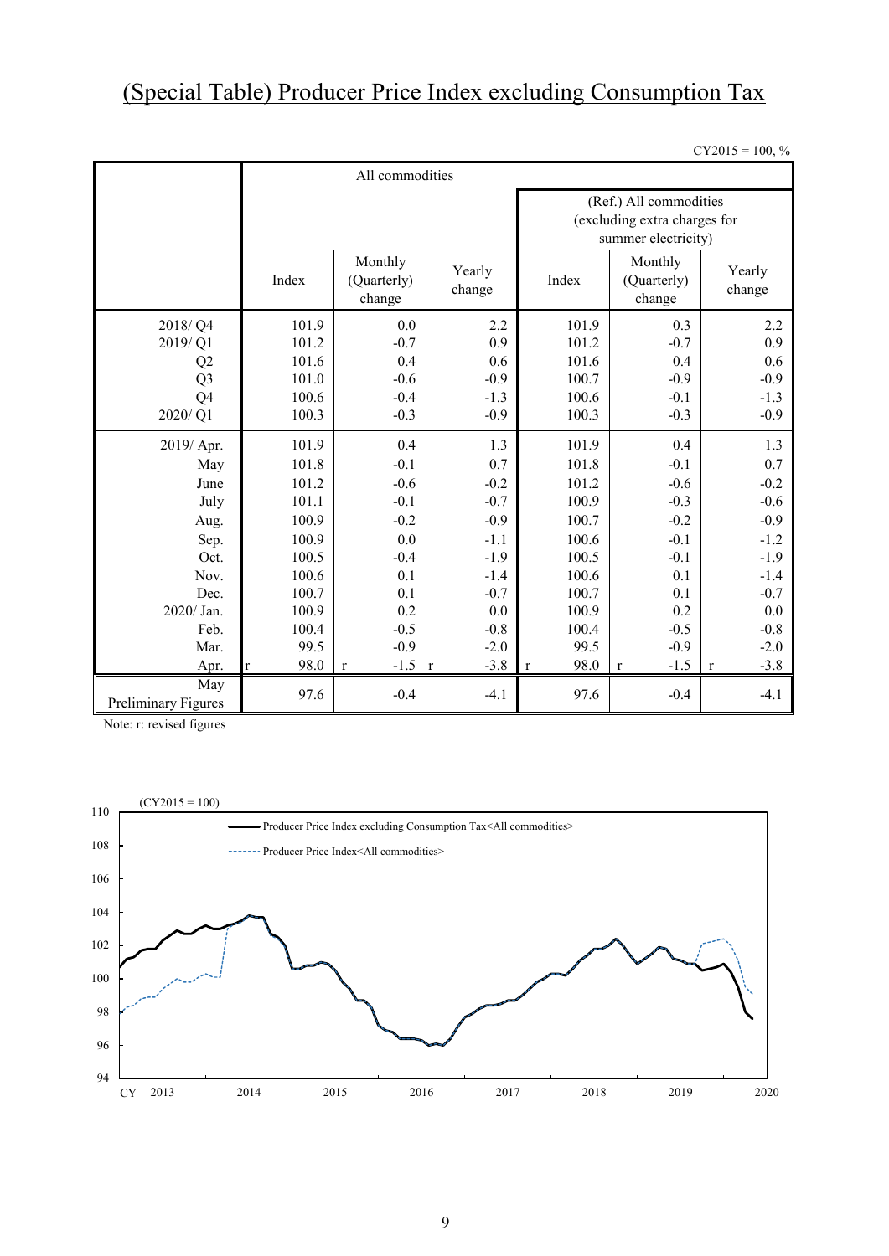# (Special Table) Producer Price Index excluding Consumption Tax

 $CY2015 = 100, \%$ 

|                            | All commodities                           |                                  |                  |                                                                               |                                  |                       |  |  |  |  |
|----------------------------|-------------------------------------------|----------------------------------|------------------|-------------------------------------------------------------------------------|----------------------------------|-----------------------|--|--|--|--|
|                            |                                           |                                  |                  | (Ref.) All commodities<br>(excluding extra charges for<br>summer electricity) |                                  |                       |  |  |  |  |
|                            | Monthly<br>Index<br>(Quarterly)<br>change |                                  | Yearly<br>change | Index                                                                         | Monthly<br>(Quarterly)<br>change | Yearly<br>change      |  |  |  |  |
| 2018/Q4                    | 101.9                                     | 0.0                              | 2.2              | 101.9                                                                         | 0.3                              | 2.2                   |  |  |  |  |
| 2019/Q1                    | 101.2                                     | $-0.7$                           | 0.9              | 101.2                                                                         | $-0.7$                           | 0.9                   |  |  |  |  |
| Q2                         | 101.6                                     | 0.4                              | 0.6              | 101.6                                                                         | 0.4                              | 0.6                   |  |  |  |  |
| Q <sub>3</sub>             | 101.0                                     | $-0.6$                           | $-0.9$           | 100.7                                                                         | $-0.9$                           | $-0.9$                |  |  |  |  |
| Q <sub>4</sub>             | 100.6                                     | $-0.4$                           | $-1.3$           | 100.6                                                                         | $-0.1$                           | $-1.3$                |  |  |  |  |
| 2020/Q1                    | 100.3                                     | $-0.3$                           | $-0.9$           | 100.3                                                                         | $-0.3$                           | $-0.9$                |  |  |  |  |
| 2019/ Apr.                 | 101.9                                     | 0.4                              | 1.3              | 101.9                                                                         | 0.4                              | 1.3                   |  |  |  |  |
| May                        | 101.8                                     | $-0.1$                           | 0.7              | 101.8                                                                         | $-0.1$                           | 0.7                   |  |  |  |  |
| June                       | 101.2                                     | $-0.6$                           | $-0.2$           | 101.2                                                                         | $-0.6$                           | $-0.2$                |  |  |  |  |
| July                       | 101.1                                     | $-0.1$                           | $-0.7$           | 100.9                                                                         | $-0.3$                           | $-0.6$                |  |  |  |  |
| Aug.                       | 100.9                                     | $-0.2$                           | $-0.9$           | 100.7                                                                         | $-0.2$                           | $-0.9$                |  |  |  |  |
| Sep.                       | 100.9                                     | 0.0                              | $-1.1$           | 100.6                                                                         | $-0.1$                           | $-1.2$                |  |  |  |  |
| Oct.                       | 100.5                                     | $-0.4$                           | $-1.9$           | 100.5                                                                         | $-0.1$                           | $-1.9$                |  |  |  |  |
| Nov.                       | 100.6                                     | 0.1                              | $-1.4$           | 100.6                                                                         | 0.1                              | $-1.4$                |  |  |  |  |
| Dec.                       | 100.7                                     | 0.1                              | $-0.7$           | 100.7                                                                         | 0.1                              | $-0.7$                |  |  |  |  |
| 2020/ Jan.                 | 100.9                                     | 0.2                              | 0.0              | 100.9                                                                         | 0.2                              | 0.0                   |  |  |  |  |
| Feb.                       | 100.4                                     | $-0.5$                           | $-0.8$           | 100.4                                                                         | $-0.5$                           | $-0.8$                |  |  |  |  |
| Mar.                       | 99.5                                      | $-0.9$                           | $-2.0$           | 99.5                                                                          | $-0.9$                           | $-2.0$                |  |  |  |  |
| Apr.                       | 98.0<br>lr.                               | $-1.5 \text{ r}$<br>$\mathbf{r}$ | $-3.8$           | 98.0<br>$\mathbf{r}$                                                          | $-1.5$<br>$\mathbf r$            | $-3.8$<br>$\mathbf r$ |  |  |  |  |
| May<br>Preliminary Figures | 97.6                                      | $-0.4$                           | $-4.1$           | 97.6                                                                          | $-0.4$                           | $-4.1$                |  |  |  |  |

Note: r: revised figures